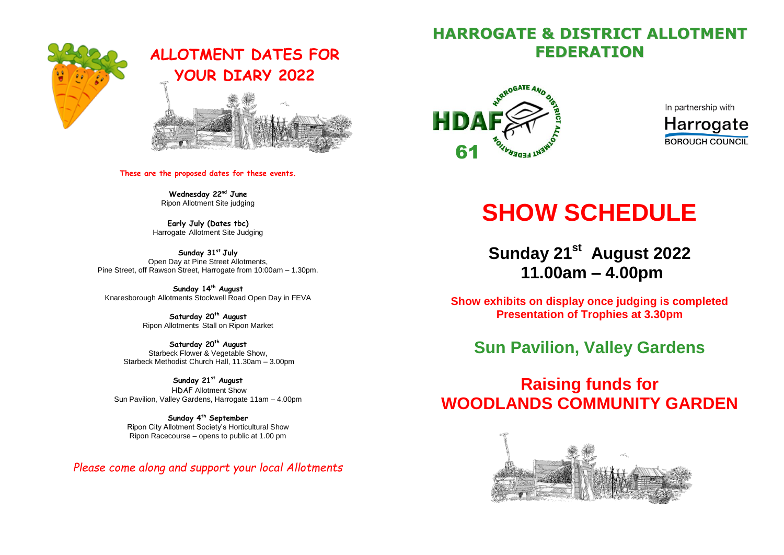

# **ALLOTMENT DATES FOR YOUR DIARY 2022**



**These are the proposed dates for these events.**

**Wednesday 22 nd June** Ripon Allotment Site judging

**Early July (Dates tbc)** Harrogate Allotment Site Judging

**Sunday 31st July** Open Day at Pine Street Allotments, Pine Street, off Rawson Street, Harrogate from 10:00am – 1.30pm.

**Sunday 14 th August** Knaresborough Allotments Stockwell Road Open Day in FEVA

> **Saturday 20th August**  Ripon Allotments Stall on Ripon Market

**Saturday 20th August**  Starbeck Flower & Vegetable Show, Starbeck Methodist Church Hall, 11.30am – 3.00pm

**Sunday 21st August**  HDAF Allotment Show Sun Pavilion, Valley Gardens, Harrogate 11am – 4.00pm

**Sunday 4 th September**  Ripon City Allotment Society's Horticultural Show Ripon Racecourse – opens to public at 1.00 pm

*Please come along and support your local Allotments* 

# **HARROGATE & DISTRICT ALLOTMENT FEDERATION**



In partnership with **Harrogate BOROUGH COUNCIL** 

# **SHOW SCHEDULE**

**Sunday 21st August 2022 11.00am – 4.00pm**

**Show exhibits on display once judging is completed Presentation of Trophies at 3.30pm** 

# **Sun Pavilion, Valley Gardens**

# **Raising funds for WOODLANDS COMMUNITY GARDEN**

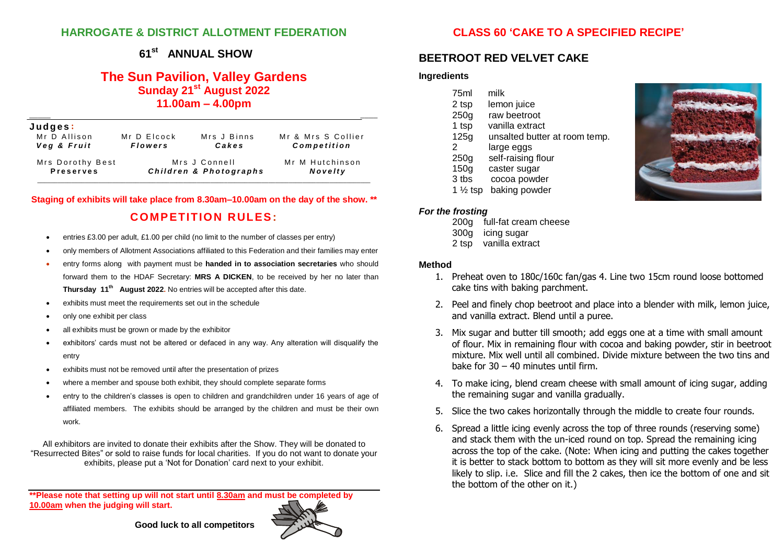### **HARROGATE & DISTRICT ALLOTMENT FEDERATION**

### **CLASS 60 'CAKE TO A SPECIFIED RECIPE'**

#### **61 st ANNUAL SHOW**

### **The Sun Pavilion, Valley Gardens Sunday 21st August 2022 11.00am – 4.00pm**

| Judges:<br>Mr D Allison<br>Veg & Fruit | Mr D Elcock<br><b>Flowers</b> | Mrs J Binns<br>Cakes | Mr & Mrs S Collier<br>Competition |
|----------------------------------------|-------------------------------|----------------------|-----------------------------------|
| Mrs Dorothy Best                       | Mrs J Connell                 |                      | Mr M Hutchinson                   |
| <b>Preserves</b>                       | Children & Photographs        |                      | Novelty                           |

**Staging of exhibits will take place from 8.30am–10.00am on the day of the show. \*\* COMPETITION RULES:**

- entries £3.00 per adult, £1.00 per child (no limit to the number of classes per entry)
- only members of Allotment Associations affiliated to this Federation and their families may enter
- entry forms along with payment must be **handed in to association secretaries** who should forward them to the HDAF Secretary: **MRS A DICKEN**, to be received by her no later than **Thursday 11th August 2022.** No entries will be accepted after this date.
- exhibits must meet the requirements set out in the schedule
- only one exhibit per class
- all exhibits must be grown or made by the exhibitor
- exhibitors' cards must not be altered or defaced in any way. Any alteration will disqualify the entry
- exhibits must not be removed until after the presentation of prizes
- where a member and spouse both exhibit, they should complete separate forms
- entry to the children's classes is open to children and grandchildren under 16 years of age of affiliated members. The exhibits should be arranged by the children and must be their own work.

All exhibitors are invited to donate their exhibits after the Show. They will be donated to "Resurrected Bites" or sold to raise funds for local charities. If you do not want to donate your exhibits, please put a 'Not for Donation' card next to your exhibit.

**\*\*Please note that setting up will not start until 8.30am and must be completed by 10.00am when the judging will start.**



### **BEETROOT RED VELVET CAKE**

#### **Ingredients**

| 75ml      | milk                                      |
|-----------|-------------------------------------------|
|           |                                           |
| 2 tsp     | lemon juice                               |
| 250g      | raw beetroot                              |
| 1 tsp     | vanilla extract                           |
| 125g      | unsalted butter at room temp.             |
| 2         | large eggs                                |
| 250g      | self-raising flour                        |
| 150g      | caster sugar                              |
| 3 tbs     | cocoa powder                              |
| $4.11 + $ | مراجع المتحدد والمستعمل والمتألف المستعمل |

1 ½ tsp baking powder

#### *For the frosting*

- 200g full-fat cream cheese
- 300g icing sugar
- 2 tsp vanilla extract

#### **Method**

- 1. Preheat oven to 180c/160c fan/gas 4. Line two 15cm round loose bottomed cake tins with baking parchment.
- 2. Peel and finely chop beetroot and place into a blender with milk, lemon juice, and vanilla extract. Blend until a puree.
- 3. Mix sugar and butter till smooth; add eggs one at a time with small amount of flour. Mix in remaining flour with cocoa and baking powder, stir in beetroot mixture. Mix well until all combined. Divide mixture between the two tins and bake for  $30 - 40$  minutes until firm.
- 4. To make icing, blend cream cheese with small amount of icing sugar, adding the remaining sugar and vanilla gradually.
- 5. Slice the two cakes horizontally through the middle to create four rounds.
- 6. Spread a little icing evenly across the top of three rounds (reserving some) and stack them with the un-iced round on top. Spread the remaining icing across the top of the cake. (Note: When icing and putting the cakes together it is better to stack bottom to bottom as they will sit more evenly and be less likely to slip. i.e. Slice and fill the 2 cakes, then ice the bottom of one and sit the bottom of the other on it.)



 **Good luck to all competitors**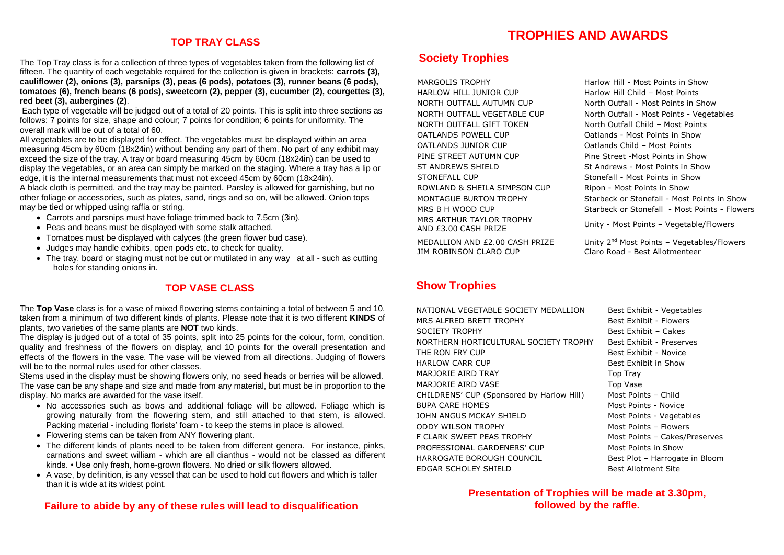### **TOP TRAY CLASS**

The Top Tray class is for a collection of three types of vegetables taken from the following list of fifteen. The quantity of each vegetable required for the collection is given in brackets: **carrots (3), cauliflower (2), onions (3), parsnips (3), peas (6 pods), potatoes (3), runner beans (6 pods), tomatoes (6), french beans (6 pods), sweetcorn (2), pepper (3), cucumber (2), courgettes (3), red beet (3), aubergines (2)**.

Each type of vegetable will be judged out of a total of 20 points. This is split into three sections as follows: 7 points for size, shape and colour; 7 points for condition; 6 points for uniformity. The overall mark will be out of a total of 60.

All vegetables are to be displayed for effect. The vegetables must be displayed within an area measuring 45cm by 60cm (18x24in) without bending any part of them. No part of any exhibit may exceed the size of the tray. A tray or board measuring 45cm by 60cm (18x24in) can be used to display the vegetables, or an area can simply be marked on the staging. Where a tray has a lip or edge, it is the internal measurements that must not exceed 45cm by 60cm (18x24in).

A black cloth is permitted, and the tray may be painted. Parsley is allowed for garnishing, but no other foliage or accessories, such as plates, sand, rings and so on, will be allowed. Onion tops may be tied or whipped using raffia or string.

- Carrots and parsnips must have foliage trimmed back to 7.5cm (3in).
- Peas and beans must be displayed with some stalk attached.
- Tomatoes must be displayed with calyces (the green flower bud case).
- Judges may handle exhibits, open pods etc. to check for quality.
- The tray, board or staging must not be cut or mutilated in any way at all such as cutting holes for standing onions in.

### **TOP VASE CLASS**

The **Top Vase** class is for a vase of mixed flowering stems containing a total of between 5 and 10, taken from a minimum of two different kinds of plants. Please note that it is two different **KINDS** of plants, two varieties of the same plants are **NOT** two kinds.

The display is judged out of a total of 35 points, split into 25 points for the colour, form, condition, quality and freshness of the flowers on display, and 10 points for the overall presentation and effects of the flowers in the vase. The vase will be viewed from all directions. Judging of flowers will be to the normal rules used for other classes.

Stems used in the display must be showing flowers only, no seed heads or berries will be allowed. The vase can be any shape and size and made from any material, but must be in proportion to the display. No marks are awarded for the vase itself.

- No accessories such as bows and additional foliage will be allowed. Foliage which is growing naturally from the flowering stem, and still attached to that stem, is allowed. Packing material - including florists' foam - to keep the stems in place is allowed.
- Flowering stems can be taken from ANY flowering plant.
- The different kinds of plants need to be taken from different genera. For instance, pinks, carnations and sweet william - which are all dianthus - would not be classed as different kinds. • Use only fresh, home-grown flowers. No dried or silk flowers allowed.
- A vase, by definition, is any vessel that can be used to hold cut flowers and which is taller than it is wide at its widest point.

### **Failure to abide by any of these rules will lead to disqualification**

### **TROPHIES AND AWARDS**

### **Society Trophies**

MARGOLIS TROPHY **Harlow Hill - Most Points in Show** HARLOW HILL JUNIOR CUP Harlow Hill Child – Most Points NORTH OUTFALL AUTUMN CUP North Outfall - Most Points in Show NORTH OUTFALL GIFT TOKEN North Outfall Child – Most Points OATLANDS POWELL CUP Oatlands - Most Points in Show OATLANDS JUNIOR CUP Oatlands Child – Most Points PINE STREET AUTUMN CUP Pine Street -Most Points in Show ST ANDREWS SHIELD St Andrews - Most Points in Show STONEFALL CUP Stonefall - Most Points in Show ROWLAND & SHEILA SIMPSON CUP Ripon - Most Points in Show MRS ARTHUR TAYLOR TROPHY AND £3.00 CASH PRIZE

MEDALLION AND £2.00 CASH PRIZE JIM ROBINSON CLARO CUP Claro Road - Best Allotmenteer

### **Show Trophies**

NATIONAL VEGETABLE SOCIETY MEDALLION Best Exhibit - Vegetables MRS ALFRED BRETT TROPHY Best Exhibit - Flowers SOCIETY TROPHY Best Exhibit – Cakes NORTHERN HORTICULTURAL SOCIETY TROPHY Best Exhibit - Preserves THE RON FRY CUP **Best Exhibit - Novice** Best Exhibit - Novice HARLOW CARR CUP **Best Exhibit in Show** MARJORIE AIRD TRAY TOP Tray MARJORIE AIRD VASE TOP Vase CHILDRENS' CUP (Sponsored by Harlow Hill) Most Points – Child BUPA CARE HOMES MOST Points - Novice JOHN ANGUS MCKAY SHIELD Most Points - Vegetables ODDY WILSON TROPHY Most Points – Flowers F CLARK SWEET PEAS TROPHY Most Points – Cakes/Preserves PROFESSIONAL GARDENERS' CUP Most Points in Show HARROGATE BOROUGH COUNCIL Best Plot – Harrogate in Bloom EDGAR SCHOLEY SHIELD Best Allotment Site

NORTH OUTFALL VEGETABLE CUP North Outfall - Most Points - Vegetables MONTAGUE BURTON TROPHY Starbeck or Stonefall - Most Points in Show MRS B H WOOD CUP Starbeck or Stonefall - Most Points - Flowers

Unity - Most Points – Vegetable/Flowers

Unity 2<sup>nd</sup> Most Points - Vegetables/Flowers

**Presentation of Trophies will be made at 3.30pm, followed by the raffle.**